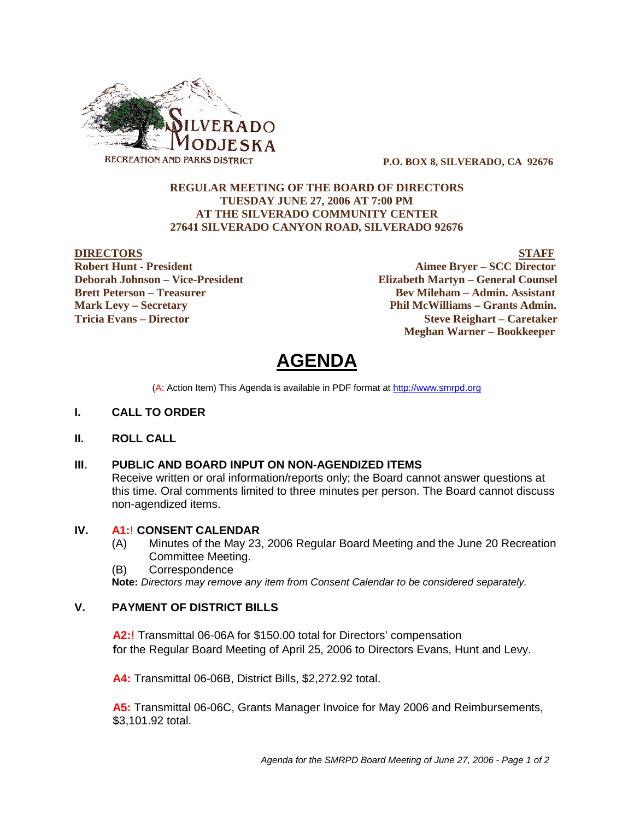

 **P.O. BOX 8, SILVERADO, CA 92676**

#### **REGULAR MEETING OF THE BOARD OF DIRECTORS TUESDAY JUNE 27, 2006 AT 7:00 PM AT THE SILVERADO COMMUNITY CENTER 27641 SILVERADO CANYON ROAD, SILVERADO 92676**

**DIRECTORS STAFF Robert Hunt - President Aimee Bryer – SCC Director Deborah Johnson – Vice-President Elizabeth Martyn – General Counsel Brett Peterson – Treasurer Serverson – Bev Mileham – Admin. Assistant Mark Levy – Secretary Phil McWilliams – Grants Admin. Tricia Evans – Director Steve Reighart – Caretaker Meghan Warner – Bookkeeper**

# **AGENDA**

(A: Action Item) This Agenda is available in PDF format at http://www.smrpd.org

- **I. CALL TO ORDER**
- **II. ROLL CALL**

#### **III. PUBLIC AND BOARD INPUT ON NON-AGENDIZED ITEMS**

Receive written or oral information/reports only; the Board cannot answer questions at this time. Oral comments limited to three minutes per person. The Board cannot discuss non-agendized items.

#### **IV. A1:**! **CONSENT CALENDAR**

- (A) Minutes of the May 23, 2006 Regular Board Meeting and the June 20 Recreation Committee Meeting.
- (B) Correspondence

**Note:** *Directors may remove any item from Consent Calendar to be considered separately.*

#### **V. PAYMENT OF DISTRICT BILLS**

**A2:**! Transmittal 06-06A for \$150.00 total for Directors' compensation **f**or the Regular Board Meeting of April 25, 2006 to Directors Evans, Hunt and Levy.

**A4:** Transmittal 06-06B, District Bills, \$2,272.92 total.

**A5:** Transmittal 06-06C, Grants Manager Invoice for May 2006 and Reimbursements, \$3,101.92 total.